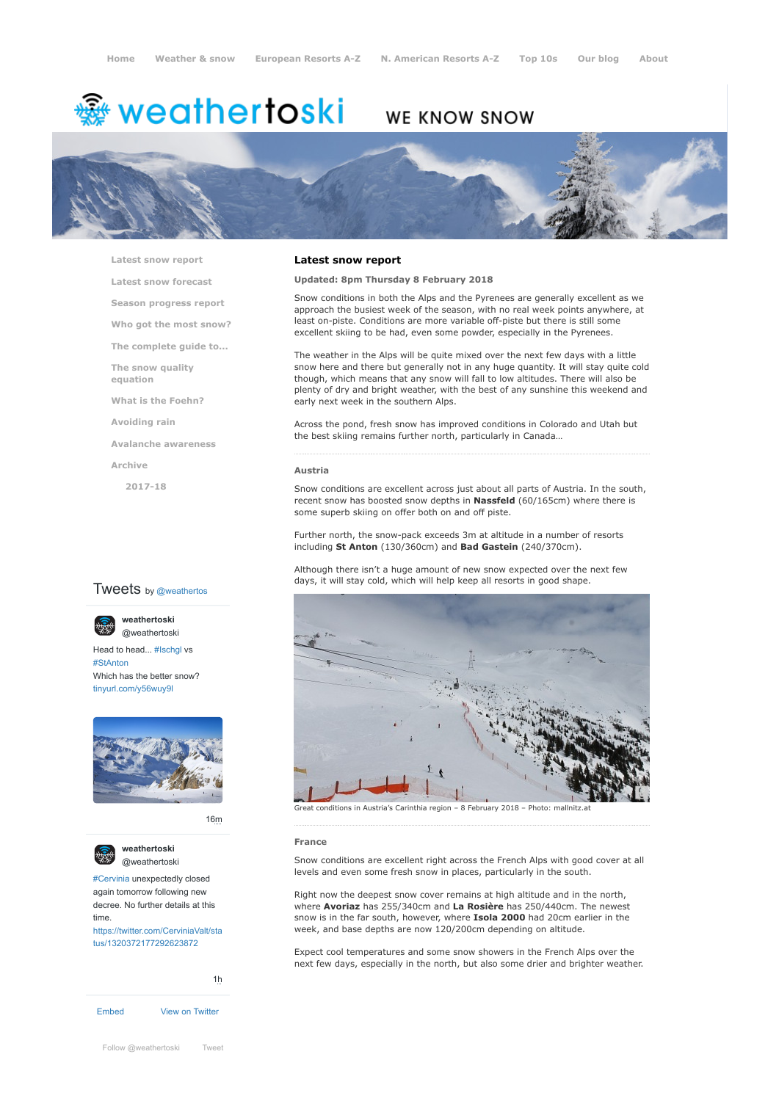# weathertoski <del>ﷺ</del>

# WE KNOW SNOW



**[Latest snow report](https://www.weathertoski.co.uk/weather-snow/latest-snow-report/)**

**[Latest snow forecast](https://www.weathertoski.co.uk/weather-snow/latest-snow-forecast/)**

**[Season progress report](https://www.weathertoski.co.uk/weather-snow/season-progress-report/)**

- **[Who got the most snow?](https://www.weathertoski.co.uk/weather-snow/who-got-the-most-snow/)**
- **[The complete guide to...](https://www.weathertoski.co.uk/weather-snow/the-complete-guide-to/)**

**[The snow quality](https://www.weathertoski.co.uk/weather-snow/the-snow-quality-equation/)**

**[What is the Foehn?](https://www.weathertoski.co.uk/weather-snow/what-is-the-foehn/)**

**[Avoiding rain](https://www.weathertoski.co.uk/weather-snow/avoiding-rain/)**

**[Avalanche awareness](https://www.weathertoski.co.uk/weather-snow/avalanche-awareness/)**

**[Archive](https://www.weathertoski.co.uk/weather-snow/archive/)**

**equation**

**[2017-18](https://www.weathertoski.co.uk/weather-snow/archive/2017-18/)**

# **Tweets** by @weathertos

**weathertoski**



Head to head... [#Ischgl](https://twitter.com/hashtag/Ischgl?src=hash) vs [#StAnton](https://twitter.com/hashtag/StAnton?src=hash) Which has the better snow? [tinyurl.com/y56wuy9l](https://t.co/AeKkyB0N9S)



[16m](https://twitter.com/weathertoski/status/1320387692862050304)





[#Cervinia](https://twitter.com/hashtag/Cervinia?src=hash) unexpectedly closed again tomorrow following new decree. No further details at this time. [https://twitter.com/CerviniaValt/sta](https://twitter.com/CerviniaValt/status/1320372177292623872)

tus/1320372177292623872



# **Latest snow report**

# **Updated: 8pm Thursday 8 February 2018**

Snow conditions in both the Alps and the Pyrenees are generally excellent as we approach the busiest week of the season, with no real week points anywhere, at least on-piste. Conditions are more variable off-piste but there is still some excellent skiing to be had, even some powder, especially in the Pyrenees.

The weather in the Alps will be quite mixed over the next few days with a little snow here and there but generally not in any huge quantity. It will stay quite cold though, which means that any snow will fall to low altitudes. There will also be plenty of dry and bright weather, with the best of any sunshine this weekend and early next week in the southern Alps.

Across the pond, fresh snow has improved conditions in Colorado and Utah but the best skiing remains further north, particularly in Canada…

#### **Austria**

Snow conditions are excellent across just about all parts of Austria. In the south, recent snow has boosted snow depths in **Nassfeld** (60/165cm) where there is some superb skiing on offer both on and off piste.

Further north, the snow-pack exceeds 3m at altitude in a number of resorts including **St Anton** (130/360cm) and **Bad Gastein** (240/370cm).

Although there isn't a huge amount of new snow expected over the next few days, it will stay cold, which will help keep all resorts in good shape.



Great conditions in Austria's Carinthia region – 8 February 2018 – Photo: mallnitz.at

#### **France**

Snow conditions are excellent right across the French Alps with good cover at all levels and even some fresh snow in places, particularly in the south.

Right now the deepest snow cover remains at high altitude and in the north, where **Avoriaz** has 255/340cm and **La Rosière** has 250/440cm. The newest snow is in the far south, however, where **Isola 2000** had 20cm earlier in the week, and base depths are now 120/200cm depending on altitude.

Expect cool temperatures and some snow showers in the French Alps over the next few days, especially in the north, but also some drier and brighter weather.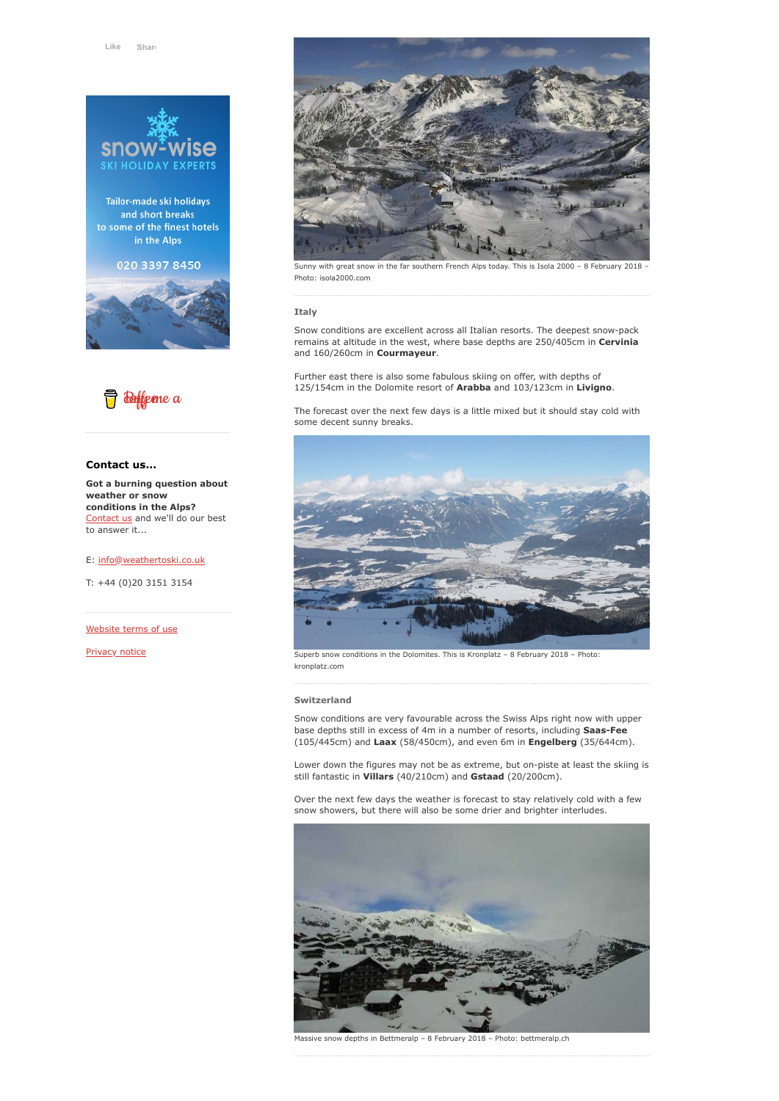

Tailor-made ski holidays and short breaks to some of the finest hotels in the Alps

020 3397 8450





## **Contact us...**

**Got a burning question about weather or snow conditions in the Alps?** [Contact us](https://www.weathertoski.co.uk/about-1/contact-us/) and we'll do our best to answer it...

E: [info@weathertoski.co.uk](mailto:fraser@weathertoski.co.uk)

T: +44 (0)20 3151 3154

[Website terms of use](https://www.weathertoski.co.uk/about-1/website-terms-of-use/)

[Privacy notice](https://www.weathertoski.co.uk/about-1/privacy-notice/)



Sunny with great snow in the far southern French Alps today. This is Isola 2000 – 8 February 2018 – Photo: isola2000.com

#### **Italy**

Snow conditions are excellent across all Italian resorts. The deepest snow-pack remains at altitude in the west, where base depths are 250/405cm in **Cervinia** and 160/260cm in **Courmayeur**.

Further east there is also some fabulous skiing on offer, with depths of 125/154cm in the Dolomite resort of **Arabba** and 103/123cm in **Livigno**.

The forecast over the next few days is a little mixed but it should stay cold with some decent sunny breaks.



Superb snow conditions in the Dolomites. This is Kronplatz – 8 February 2018 – Photo: kronplatz.com

#### **Switzerland**

Snow conditions are very favourable across the Swiss Alps right now with upper base depths still in excess of 4m in a number of resorts, including **Saas-Fee** (105/445cm) and **Laax** (58/450cm), and even 6m in **Engelberg** (35/644cm).

Lower down the figures may not be as extreme, but on-piste at least the skiing is still fantastic in **Villars** (40/210cm) and **Gstaad** (20/200cm).

Over the next few days the weather is forecast to stay relatively cold with a few snow showers, but there will also be some drier and brighter interludes.



Massive snow depths in Bettmeralp – 8 February 2018 – Photo: bettmeralp.ch